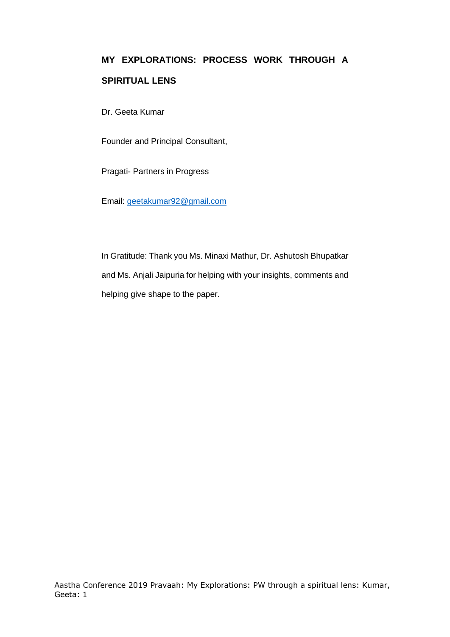# **MY EXPLORATIONS: PROCESS WORK THROUGH A SPIRITUAL LENS**

Dr. Geeta Kumar

Founder and Principal Consultant,

Pragati- Partners in Progress

Email: [geetakumar92@gmail.com](mailto:geetakumar92@gmail.com) 

In Gratitude: Thank you Ms. Minaxi Mathur, Dr. Ashutosh Bhupatkar and Ms. Anjali Jaipuria for helping with your insights, comments and helping give shape to the paper.

Aastha Conference 2019 Pravaah: My Explorations: PW through a spiritual lens: Kumar, Geeta: 1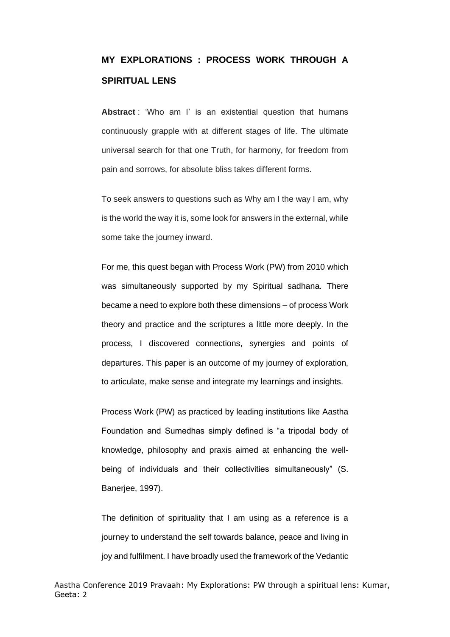# **MY EXPLORATIONS : PROCESS WORK THROUGH A SPIRITUAL LENS**

**Abstract** : 'Who am I' is an existential question that humans continuously grapple with at different stages of life. The ultimate universal search for that one Truth, for harmony, for freedom from pain and sorrows, for absolute bliss takes different forms.

To seek answers to questions such as Why am I the way I am, why is the world the way it is, some look for answers in the external, while some take the journey inward.

For me, this quest began with Process Work (PW) from 2010 which was simultaneously supported by my Spiritual sadhana. There became a need to explore both these dimensions – of process Work theory and practice and the scriptures a little more deeply. In the process, I discovered connections, synergies and points of departures. This paper is an outcome of my journey of exploration, to articulate, make sense and integrate my learnings and insights.

Process Work (PW) as practiced by leading institutions like Aastha Foundation and Sumedhas simply defined is "a tripodal body of knowledge, philosophy and praxis aimed at enhancing the wellbeing of individuals and their collectivities simultaneously" (S. Banerjee, 1997).

The definition of spirituality that I am using as a reference is a journey to understand the self towards balance, peace and living in joy and fulfilment. I have broadly used the framework of the Vedantic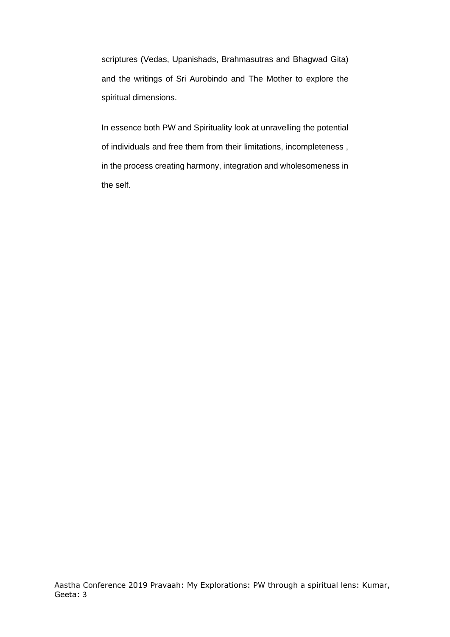scriptures (Vedas, Upanishads, Brahmasutras and Bhagwad Gita) and the writings of Sri Aurobindo and The Mother to explore the spiritual dimensions.

In essence both PW and Spirituality look at unravelling the potential of individuals and free them from their limitations, incompleteness , in the process creating harmony, integration and wholesomeness in the self.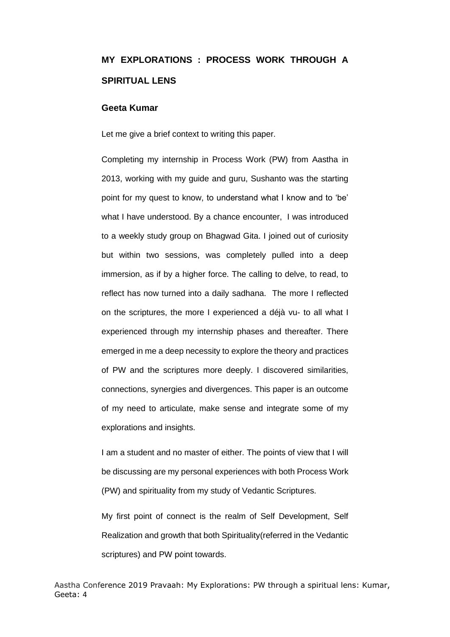# **MY EXPLORATIONS : PROCESS WORK THROUGH A SPIRITUAL LENS**

### **Geeta Kumar**

Let me give a brief context to writing this paper.

Completing my internship in Process Work (PW) from Aastha in 2013, working with my guide and guru, Sushanto was the starting point for my quest to know, to understand what I know and to 'be' what I have understood. By a chance encounter, I was introduced to a weekly study group on Bhagwad Gita. I joined out of curiosity but within two sessions, was completely pulled into a deep immersion, as if by a higher force. The calling to delve, to read, to reflect has now turned into a daily sadhana. The more I reflected on the scriptures, the more I experienced a déjà vu- to all what I experienced through my internship phases and thereafter. There emerged in me a deep necessity to explore the theory and practices of PW and the scriptures more deeply. I discovered similarities, connections, synergies and divergences. This paper is an outcome of my need to articulate, make sense and integrate some of my explorations and insights.

I am a student and no master of either. The points of view that I will be discussing are my personal experiences with both Process Work (PW) and spirituality from my study of Vedantic Scriptures.

My first point of connect is the realm of Self Development, Self Realization and growth that both Spirituality(referred in the Vedantic scriptures) and PW point towards.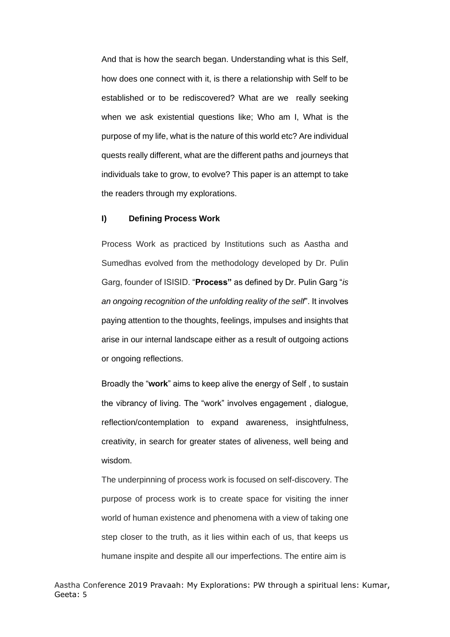And that is how the search began. Understanding what is this Self, how does one connect with it, is there a relationship with Self to be established or to be rediscovered? What are we really seeking when we ask existential questions like; Who am I, What is the purpose of my life, what is the nature of this world etc? Are individual quests really different, what are the different paths and journeys that individuals take to grow, to evolve? This paper is an attempt to take the readers through my explorations.

#### **I) Defining Process Work**

Process Work as practiced by Institutions such as Aastha and Sumedhas evolved from the methodology developed by Dr. Pulin Garg, founder of ISISID. "**Process"** as defined by Dr. Pulin Garg "*is an ongoing recognition of the unfolding reality of the self*". It involves paying attention to the thoughts, feelings, impulses and insights that arise in our internal landscape either as a result of outgoing actions or ongoing reflections.

Broadly the "**work**" aims to keep alive the energy of Self , to sustain the vibrancy of living. The "work" involves engagement , dialogue, reflection/contemplation to expand awareness, insightfulness, creativity, in search for greater states of aliveness, well being and wisdom.

The underpinning of process work is focused on self-discovery. The purpose of process work is to create space for visiting the inner world of human existence and phenomena with a view of taking one step closer to the truth, as it lies within each of us, that keeps us humane inspite and despite all our imperfections. The entire aim is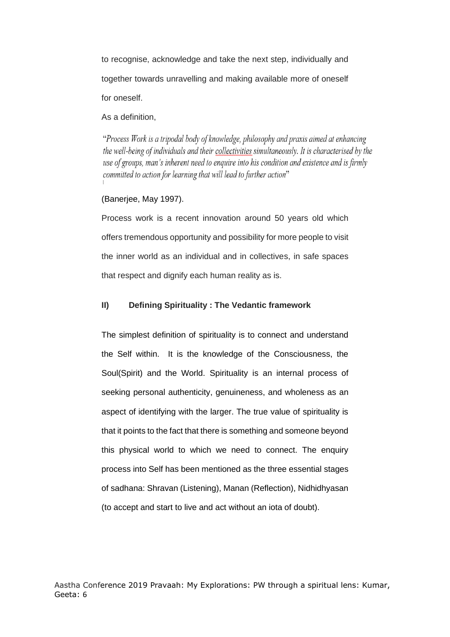to recognise, acknowledge and take the next step, individually and together towards unravelling and making available more of oneself for oneself.

As a definition,

"Process Work is a tripodal body of knowledge, philosophy and praxis aimed at enhancing the well-being of individuals and their collectivities simultaneously. It is characterised by the use of groups, man's inherent need to enquire into his condition and existence and is firmly committed to action for learning that will lead to further action"

### (Banerjee, May 1997).

Process work is a recent innovation around 50 years old which offers tremendous opportunity and possibility for more people to visit the inner world as an individual and in collectives, in safe spaces that respect and dignify each human reality as is.

## **II) Defining Spirituality : The Vedantic framework**

The simplest definition of spirituality is to connect and understand the Self within. It is the knowledge of the Consciousness, the Soul(Spirit) and the World. Spirituality is an internal process of seeking personal authenticity, genuineness, and wholeness as an aspect of identifying with the larger. The true value of spirituality is that it points to the fact that there is something and someone beyond this physical world to which we need to connect. The enquiry process into Self has been mentioned as the three essential stages of sadhana: Shravan (Listening), Manan (Reflection), Nidhidhyasan (to accept and start to live and act without an iota of doubt).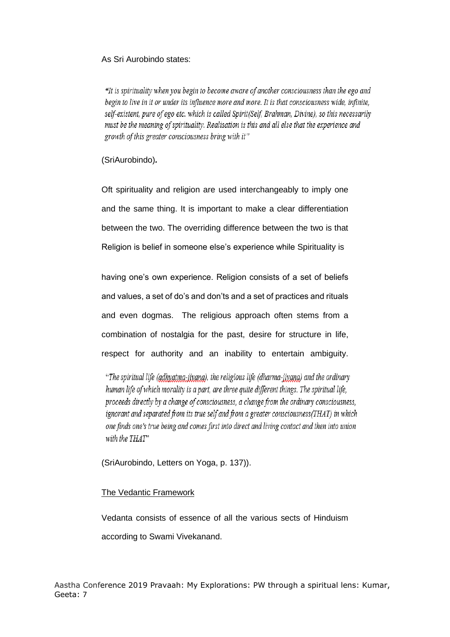### As Sri Aurobindo states:

"It is spirituality when you begin to become aware of another consciousness than the ego and begin to live in it or under its influence more and more. It is that consciousness wide, infinite, self-existent, pure of ego etc. which is called Spirit(Self, Brahman, Divine), so this necessarily must be the meaning of spirituality. Realisation is this and all else that the experience and growth of this greater consciousness bring with it"

(SriAurobindo)*.*

Oft spirituality and religion are used interchangeably to imply one and the same thing. It is important to make a clear differentiation between the two. The overriding difference between the two is that Religion is belief in someone else's experience while Spirituality is

having one's own experience. Religion consists of a set of beliefs and values, a set of do's and don'ts and a set of practices and rituals and even dogmas. The religious approach often stems from a combination of nostalgia for the past, desire for structure in life, respect for authority and an inability to entertain ambiguity.

"The spiritual life (adhyatma-jiyana), the religious life (dharma-jiyana) and the ordinary human life of which morality is a part, are three quite different things. The spiritual life, proceeds directly by a change of consciousness, a change from the ordinary consciousness, ignorant and separated from its true self and from a greater consciousness (THAT) in which one finds one's true being and comes first into direct and living contact and then into union with the THAT"

(SriAurobindo, Letters on Yoga, p. 137)).

### The Vedantic Framework

Vedanta consists of essence of all the various sects of Hinduism according to Swami Vivekanand.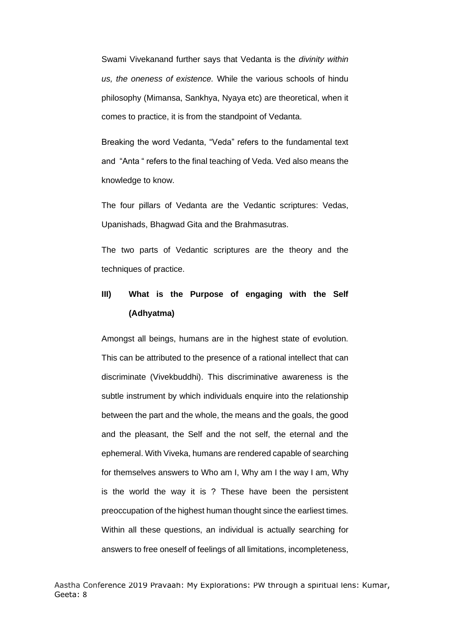Swami Vivekanand further says that Vedanta is the *divinity within us, the oneness of existence.* While the various schools of hindu philosophy (Mimansa, Sankhya, Nyaya etc) are theoretical, when it comes to practice, it is from the standpoint of Vedanta.

Breaking the word Vedanta, "Veda" refers to the fundamental text and "Anta " refers to the final teaching of Veda. Ved also means the knowledge to know.

The four pillars of Vedanta are the Vedantic scriptures: Vedas, Upanishads, Bhagwad Gita and the Brahmasutras.

The two parts of Vedantic scriptures are the theory and the techniques of practice.

# **III) What is the Purpose of engaging with the Self (Adhyatma)**

Amongst all beings, humans are in the highest state of evolution. This can be attributed to the presence of a rational intellect that can discriminate (Vivekbuddhi). This discriminative awareness is the subtle instrument by which individuals enquire into the relationship between the part and the whole, the means and the goals, the good and the pleasant, the Self and the not self, the eternal and the ephemeral. With Viveka, humans are rendered capable of searching for themselves answers to Who am I, Why am I the way I am, Why is the world the way it is ? These have been the persistent preoccupation of the highest human thought since the earliest times. Within all these questions, an individual is actually searching for answers to free oneself of feelings of all limitations, incompleteness,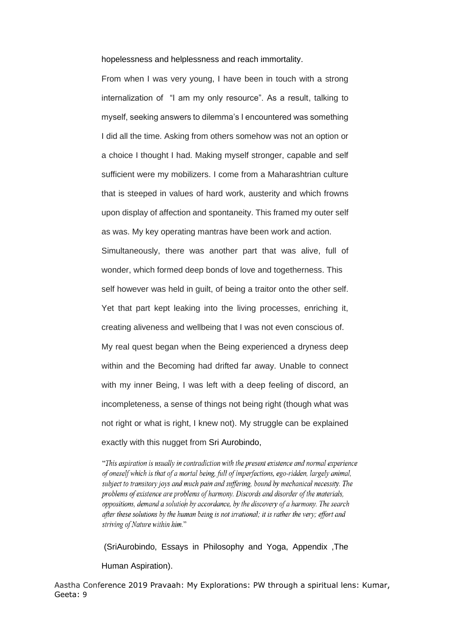hopelessness and helplessness and reach immortality.

From when I was very young, I have been in touch with a strong internalization of "I am my only resource". As a result, talking to myself, seeking answers to dilemma's I encountered was something I did all the time. Asking from others somehow was not an option or a choice I thought I had. Making myself stronger, capable and self sufficient were my mobilizers. I come from a Maharashtrian culture that is steeped in values of hard work, austerity and which frowns upon display of affection and spontaneity. This framed my outer self as was. My key operating mantras have been work and action.

Simultaneously, there was another part that was alive, full of wonder, which formed deep bonds of love and togetherness. This self however was held in guilt, of being a traitor onto the other self. Yet that part kept leaking into the living processes, enriching it, creating aliveness and wellbeing that I was not even conscious of. My real quest began when the Being experienced a dryness deep within and the Becoming had drifted far away. Unable to connect with my inner Being, I was left with a deep feeling of discord, an incompleteness, a sense of things not being right (though what was not right or what is right, I knew not). My struggle can be explained exactly with this nugget from Sri Aurobindo,

"This aspiration is usually in contradiction with the present existence and normal experience of oneself which is that of a mortal being, full of imperfections, ego-ridden, largely animal, subject to transitory joys and much pain and suffering, bound by mechanical necessity. The problems of existence are problems of harmony. Discords and disorder of the materials, oppositions, demand a solution by accordance, by the discovery of a harmony. The search after these solutions by the human being is not irrational; it is rather the very; effort and striving of Nature within him."

(SriAurobindo, Essays in Philosophy and Yoga, Appendix ,The Human Aspiration).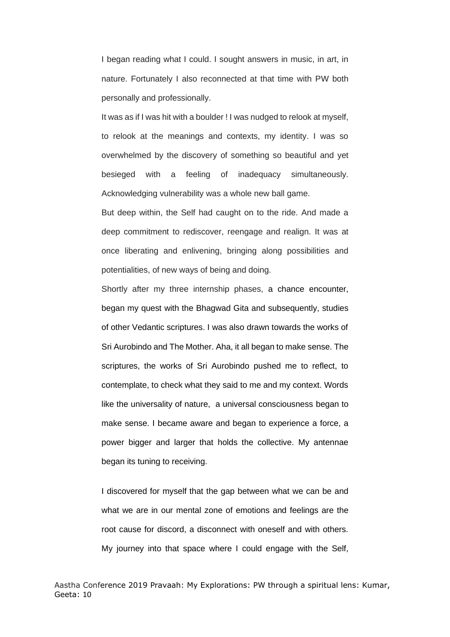I began reading what I could. I sought answers in music, in art, in nature. Fortunately I also reconnected at that time with PW both personally and professionally.

It was as if I was hit with a boulder ! I was nudged to relook at myself, to relook at the meanings and contexts, my identity. I was so overwhelmed by the discovery of something so beautiful and yet besieged with a feeling of inadequacy simultaneously. Acknowledging vulnerability was a whole new ball game.

But deep within, the Self had caught on to the ride. And made a deep commitment to rediscover, reengage and realign. It was at once liberating and enlivening, bringing along possibilities and potentialities, of new ways of being and doing.

Shortly after my three internship phases, a chance encounter, began my quest with the Bhagwad Gita and subsequently, studies of other Vedantic scriptures. I was also drawn towards the works of Sri Aurobindo and The Mother. Aha, it all began to make sense. The scriptures, the works of Sri Aurobindo pushed me to reflect, to contemplate, to check what they said to me and my context. Words like the universality of nature, a universal consciousness began to make sense. I became aware and began to experience a force, a power bigger and larger that holds the collective. My antennae began its tuning to receiving.

I discovered for myself that the gap between what we can be and what we are in our mental zone of emotions and feelings are the root cause for discord, a disconnect with oneself and with others. My journey into that space where I could engage with the Self,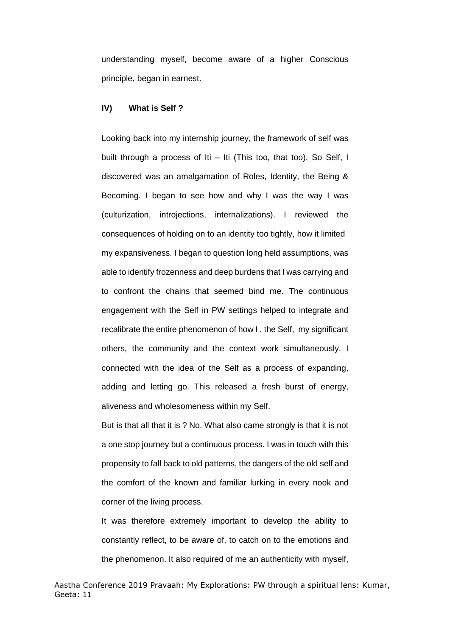understanding myself, become aware of a higher Conscious principle, began in earnest.

### **IV) What is Self ?**

Looking back into my internship journey, the framework of self was built through a process of Iti – Iti (This too, that too). So Self, I discovered was an amalgamation of Roles, Identity, the Being & Becoming. I began to see how and why I was the way I was (culturization, introjections, internalizations). I reviewed the consequences of holding on to an identity too tightly, how it limited my expansiveness. I began to question long held assumptions, was able to identify frozenness and deep burdens that I was carrying and to confront the chains that seemed bind me. The continuous engagement with the Self in PW settings helped to integrate and recalibrate the entire phenomenon of how I , the Self, my significant others, the community and the context work simultaneously. I connected with the idea of the Self as a process of expanding, adding and letting go. This released a fresh burst of energy, aliveness and wholesomeness within my Self.

But is that all that it is ? No. What also came strongly is that it is not a one stop journey but a continuous process. I was in touch with this propensity to fall back to old patterns, the dangers of the old self and the comfort of the known and familiar lurking in every nook and corner of the living process.

It was therefore extremely important to develop the ability to constantly reflect, to be aware of, to catch on to the emotions and the phenomenon. It also required of me an authenticity with myself,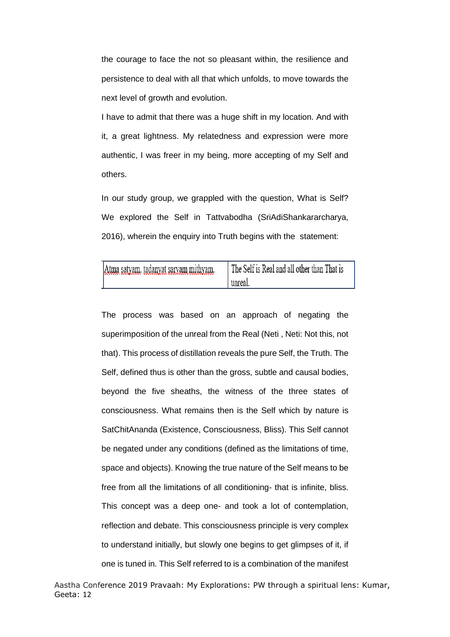the courage to face the not so pleasant within, the resilience and persistence to deal with all that which unfolds, to move towards the next level of growth and evolution.

I have to admit that there was a huge shift in my location. And with it, a great lightness. My relatedness and expression were more authentic, I was freer in my being, more accepting of my Self and others.

In our study group, we grappled with the question, What is Self? We explored the Self in Tattvabodha (SriAdiShankararcharya, 2016), wherein the enquiry into Truth begins with the statement:

| Atma satyam, tadanyat saryam mithyam. | The Self is Real and all other than That is |
|---------------------------------------|---------------------------------------------|
|                                       | unreal.                                     |

The process was based on an approach of negating the superimposition of the unreal from the Real (Neti , Neti: Not this, not that). This process of distillation reveals the pure Self, the Truth. The Self, defined thus is other than the gross, subtle and causal bodies, beyond the five sheaths, the witness of the three states of consciousness. What remains then is the Self which by nature is SatChitAnanda (Existence, Consciousness, Bliss). This Self cannot be negated under any conditions (defined as the limitations of time, space and objects). Knowing the true nature of the Self means to be free from all the limitations of all conditioning- that is infinite, bliss. This concept was a deep one- and took a lot of contemplation, reflection and debate. This consciousness principle is very complex to understand initially, but slowly one begins to get glimpses of it, if one is tuned in. This Self referred to is a combination of the manifest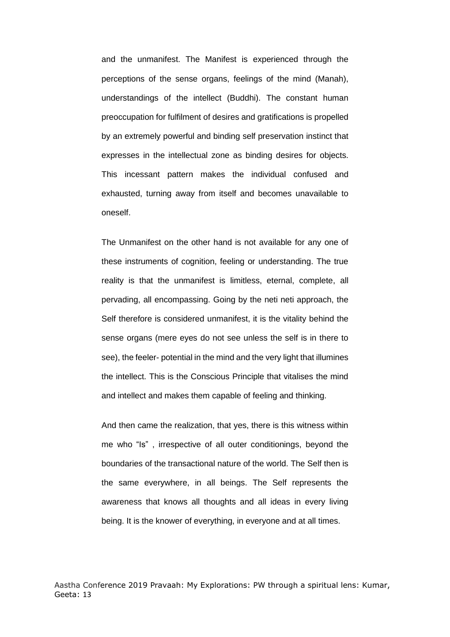and the unmanifest. The Manifest is experienced through the perceptions of the sense organs, feelings of the mind (Manah), understandings of the intellect (Buddhi). The constant human preoccupation for fulfilment of desires and gratifications is propelled by an extremely powerful and binding self preservation instinct that expresses in the intellectual zone as binding desires for objects. This incessant pattern makes the individual confused and exhausted, turning away from itself and becomes unavailable to oneself.

The Unmanifest on the other hand is not available for any one of these instruments of cognition, feeling or understanding. The true reality is that the unmanifest is limitless, eternal, complete, all pervading, all encompassing. Going by the neti neti approach, the Self therefore is considered unmanifest, it is the vitality behind the sense organs (mere eyes do not see unless the self is in there to see), the feeler- potential in the mind and the very light that illumines the intellect. This is the Conscious Principle that vitalises the mind and intellect and makes them capable of feeling and thinking.

And then came the realization, that yes, there is this witness within me who "Is" , irrespective of all outer conditionings, beyond the boundaries of the transactional nature of the world. The Self then is the same everywhere, in all beings. The Self represents the awareness that knows all thoughts and all ideas in every living being. It is the knower of everything, in everyone and at all times.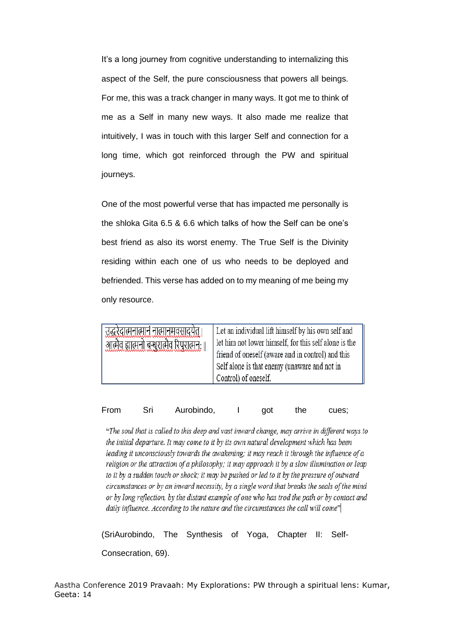It's a long journey from cognitive understanding to internalizing this aspect of the Self, the pure consciousness that powers all beings. For me, this was a track changer in many ways. It got me to think of me as a Self in many new ways. It also made me realize that intuitively, I was in touch with this larger Self and connection for a long time, which got reinforced through the PW and spiritual journeys.

One of the most powerful verse that has impacted me personally is the shloka Gita 6.5 & 6.6 which talks of how the Self can be one's best friend as also its worst enemy. The True Self is the Divinity residing within each one of us who needs to be deployed and befriended. This verse has added on to my meaning of me being my only resource.

| <u>उद्धरेदात्मनात्मानं नात्मानमवसादयेत्।</u><br>आत्मेव ह्यात्मनो बन्धुरात्मैव रिपुरात्मन:॥ | Let an individual lift himself by his own self and<br>let him not lower himself, for this self alone is the<br>friend of oneself (aware and in control) and this |
|--------------------------------------------------------------------------------------------|------------------------------------------------------------------------------------------------------------------------------------------------------------------|
|                                                                                            | Self alone is that enemy (unaware and not in                                                                                                                     |
|                                                                                            | Control) of oneself.                                                                                                                                             |

## From Sri Aurobindo, I got the cues;

"The soul that is called to this deep and vast inward change, may arrive in different ways to the initial departure. It may come to it by its own natural development which has been leading it unconsciously towards the awakening; it may reach it through the influence of a religion or the attraction of a philosophy; it may approach it by a slow illumination or leap to it by a sudden touch or shock; it may be pushed or led to it by the pressure of outward circumstances or by an inward necessity, by a single word that breaks the seals of the mind or by long reflection, by the distant example of one who has trod the path or by contact and daily influence. According to the nature and the circumstances the call will come"

(SriAurobindo, The Synthesis of Yoga, Chapter II: Self-Consecration, 69).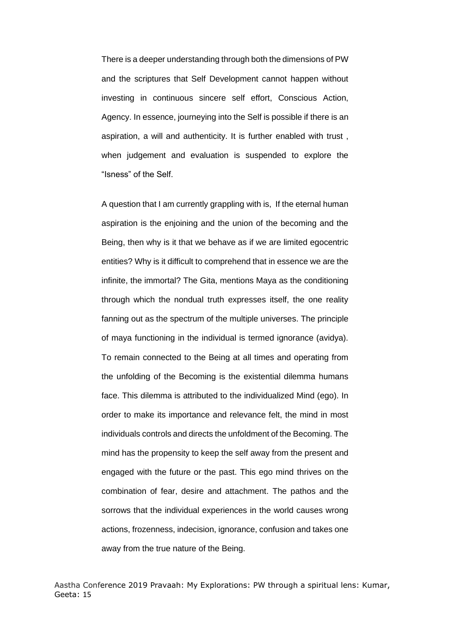There is a deeper understanding through both the dimensions of PW and the scriptures that Self Development cannot happen without investing in continuous sincere self effort, Conscious Action, Agency. In essence, journeying into the Self is possible if there is an aspiration, a will and authenticity. It is further enabled with trust , when judgement and evaluation is suspended to explore the "Isness" of the Self.

A question that I am currently grappling with is, If the eternal human aspiration is the enjoining and the union of the becoming and the Being, then why is it that we behave as if we are limited egocentric entities? Why is it difficult to comprehend that in essence we are the infinite, the immortal? The Gita, mentions Maya as the conditioning through which the nondual truth expresses itself, the one reality fanning out as the spectrum of the multiple universes. The principle of maya functioning in the individual is termed ignorance (avidya). To remain connected to the Being at all times and operating from the unfolding of the Becoming is the existential dilemma humans face. This dilemma is attributed to the individualized Mind (ego). In order to make its importance and relevance felt, the mind in most individuals controls and directs the unfoldment of the Becoming. The mind has the propensity to keep the self away from the present and engaged with the future or the past. This ego mind thrives on the combination of fear, desire and attachment. The pathos and the sorrows that the individual experiences in the world causes wrong actions, frozenness, indecision, ignorance, confusion and takes one away from the true nature of the Being.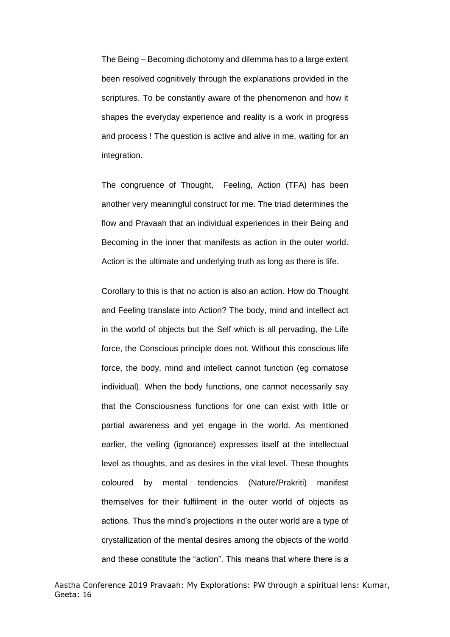The Being – Becoming dichotomy and dilemma has to a large extent been resolved cognitively through the explanations provided in the scriptures. To be constantly aware of the phenomenon and how it shapes the everyday experience and reality is a work in progress and process ! The question is active and alive in me, waiting for an integration.

The congruence of Thought, Feeling, Action (TFA) has been another very meaningful construct for me. The triad determines the flow and Pravaah that an individual experiences in their Being and Becoming in the inner that manifests as action in the outer world. Action is the ultimate and underlying truth as long as there is life.

Corollary to this is that no action is also an action. How do Thought and Feeling translate into Action? The body, mind and intellect act in the world of objects but the Self which is all pervading, the Life force, the Conscious principle does not. Without this conscious life force, the body, mind and intellect cannot function (eg comatose individual). When the body functions, one cannot necessarily say that the Consciousness functions for one can exist with little or partial awareness and yet engage in the world. As mentioned earlier, the veiling (ignorance) expresses itself at the intellectual level as thoughts, and as desires in the vital level. These thoughts coloured by mental tendencies (Nature/Prakriti) manifest themselves for their fulfilment in the outer world of objects as actions. Thus the mind's projections in the outer world are a type of crystallization of the mental desires among the objects of the world and these constitute the "action". This means that where there is a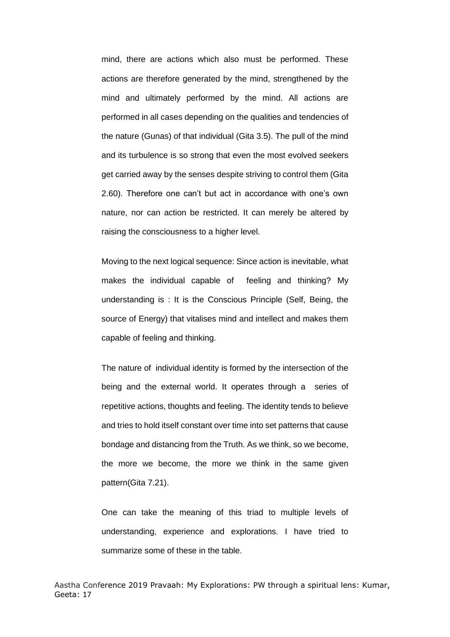mind, there are actions which also must be performed. These actions are therefore generated by the mind, strengthened by the mind and ultimately performed by the mind. All actions are performed in all cases depending on the qualities and tendencies of the nature (Gunas) of that individual (Gita 3.5). The pull of the mind and its turbulence is so strong that even the most evolved seekers get carried away by the senses despite striving to control them (Gita 2.60). Therefore one can't but act in accordance with one's own nature, nor can action be restricted. It can merely be altered by raising the consciousness to a higher level.

Moving to the next logical sequence: Since action is inevitable, what makes the individual capable of feeling and thinking? My understanding is : It is the Conscious Principle (Self, Being, the source of Energy) that vitalises mind and intellect and makes them capable of feeling and thinking.

The nature of individual identity is formed by the intersection of the being and the external world. It operates through a series of repetitive actions, thoughts and feeling. The identity tends to believe and tries to hold itself constant over time into set patterns that cause bondage and distancing from the Truth. As we think, so we become, the more we become, the more we think in the same given pattern(Gita 7.21).

One can take the meaning of this triad to multiple levels of understanding, experience and explorations. I have tried to summarize some of these in the table.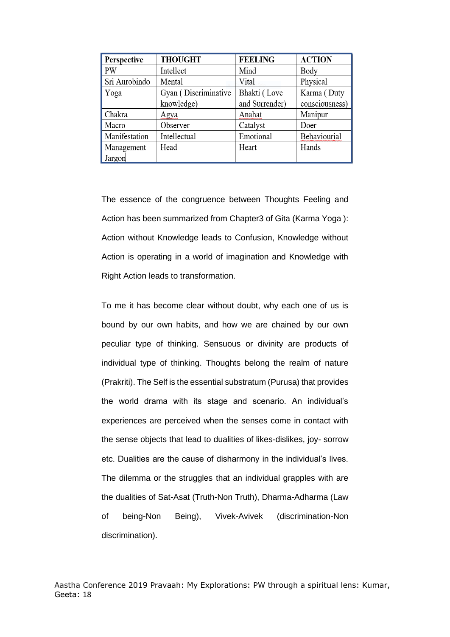| <b>Perspective</b> | <b>THOUGHT</b>       | <b>FEELING</b> | <b>ACTION</b>  |
|--------------------|----------------------|----------------|----------------|
| <b>PW</b>          | Intellect            | Mind           | Body           |
| Sri Aurobindo      | Mental               | Vital          | Physical       |
| Yoga               | Gyan (Discriminative | Bhakti (Love   | Karma (Duty    |
|                    | knowledge)           | and Surrender) | consciousness) |
| Chakra             | Agya                 | Anahat         | Manipur        |
| Macro              | Observer             | Catalyst       | Doer           |
| Manifestation      | Intellectual         | Emotional      | Behaviourial   |
| Management         | Head                 | Heart          | Hands          |
| Jargon             |                      |                |                |

The essence of the congruence between Thoughts Feeling and Action has been summarized from Chapter3 of Gita (Karma Yoga ): Action without Knowledge leads to Confusion, Knowledge without Action is operating in a world of imagination and Knowledge with Right Action leads to transformation.

To me it has become clear without doubt, why each one of us is bound by our own habits, and how we are chained by our own peculiar type of thinking. Sensuous or divinity are products of individual type of thinking. Thoughts belong the realm of nature (Prakriti). The Self is the essential substratum (Purusa) that provides the world drama with its stage and scenario. An individual's experiences are perceived when the senses come in contact with the sense objects that lead to dualities of likes-dislikes, joy- sorrow etc. Dualities are the cause of disharmony in the individual's lives. The dilemma or the struggles that an individual grapples with are the dualities of Sat-Asat (Truth-Non Truth), Dharma-Adharma (Law of being-Non Being), Vivek-Avivek (discrimination-Non discrimination).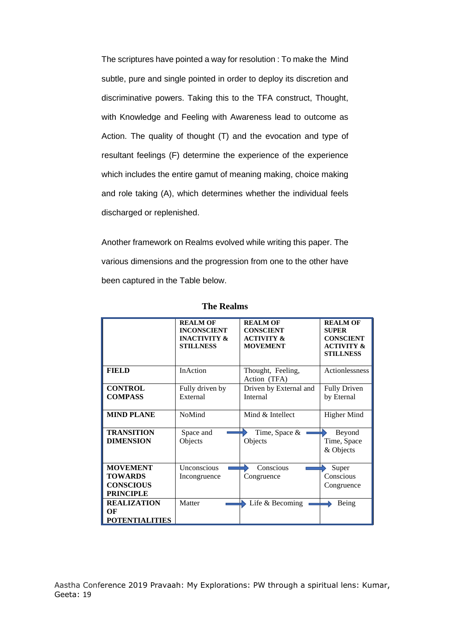The scriptures have pointed a way for resolution : To make the Mind subtle, pure and single pointed in order to deploy its discretion and discriminative powers. Taking this to the TFA construct, Thought, with Knowledge and Feeling with Awareness lead to outcome as Action. The quality of thought (T) and the evocation and type of resultant feelings (F) determine the experience of the experience which includes the entire gamut of meaning making, choice making and role taking (A), which determines whether the individual feels discharged or replenished.

Another framework on Realms evolved while writing this paper. The various dimensions and the progression from one to the other have been captured in the Table below.

|                                                                           | <b>REALM OF</b><br><b>INCONSCIENT</b><br><b>INACTIVITY &amp;</b><br><b>STILLNESS</b> | <b>REALM OF</b><br><b>CONSCIENT</b><br><b>ACTIVITY &amp;</b><br><b>MOVEMENT</b> | <b>REALM OF</b><br><b>SUPER</b><br><b>CONSCIENT</b><br><b>ACTIVITY &amp;</b><br><b>STILLNESS</b> |
|---------------------------------------------------------------------------|--------------------------------------------------------------------------------------|---------------------------------------------------------------------------------|--------------------------------------------------------------------------------------------------|
| <b>FIELD</b>                                                              | InAction                                                                             | Thought, Feeling,<br>Action (TFA)                                               | Actionlessness                                                                                   |
| <b>CONTROL</b><br><b>COMPASS</b>                                          | Fully driven by<br>External                                                          | Driven by External and<br>Internal                                              | <b>Fully Driven</b><br>by Eternal                                                                |
| <b>MIND PLANE</b>                                                         | <b>NoMind</b>                                                                        | Mind & Intellect                                                                | <b>Higher Mind</b>                                                                               |
| <b>TRANSITION</b><br><b>DIMENSION</b>                                     | Space and<br>Objects                                                                 | Time, Space &<br>Objects                                                        | Beyond<br>Time, Space<br>& Objects                                                               |
| <b>MOVEMENT</b><br><b>TOWARDS</b><br><b>CONSCIOUS</b><br><b>PRINCIPLE</b> | Unconscious<br>Incongruence                                                          | Conscious<br>Congruence                                                         | Super<br>Conscious<br>Congruence                                                                 |
| <b>REALIZATION</b><br>OF<br><b>POTENTIALITIES</b>                         | Matter                                                                               | Life & Becoming                                                                 | Being                                                                                            |

**The Realms**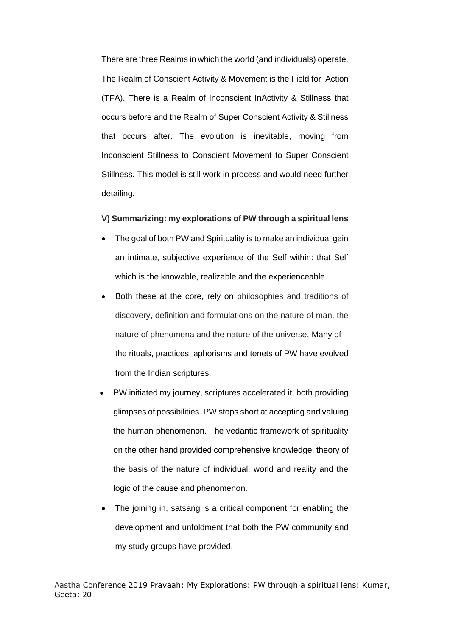There are three Realms in which the world (and individuals) operate. The Realm of Conscient Activity & Movement is the Field for Action (TFA). There is a Realm of Inconscient InActivity & Stillness that occurs before and the Realm of Super Conscient Activity & Stillness that occurs after. The evolution is inevitable, moving from Inconscient Stillness to Conscient Movement to Super Conscient Stillness. This model is still work in process and would need further detailing.

### **V) Summarizing: my explorations of PW through a spiritual lens**

- The goal of both PW and Spirituality is to make an individual gain an intimate, subjective experience of the Self within: that Self which is the knowable, realizable and the experienceable.
- Both these at the core, rely on philosophies and traditions of discovery, definition and formulations on the nature of man, the nature of phenomena and the nature of the universe. Many of the rituals, practices, aphorisms and tenets of PW have evolved from the Indian scriptures.
- PW initiated my journey, scriptures accelerated it, both providing glimpses of possibilities. PW stops short at accepting and valuing the human phenomenon. The vedantic framework of spirituality on the other hand provided comprehensive knowledge, theory of the basis of the nature of individual, world and reality and the logic of the cause and phenomenon.
- The joining in, satsang is a critical component for enabling the development and unfoldment that both the PW community and my study groups have provided.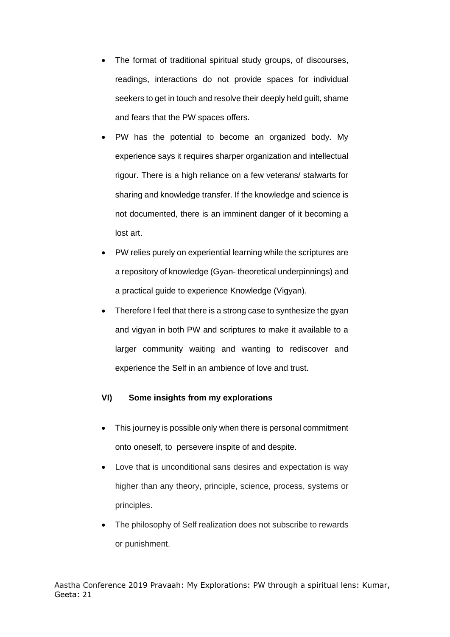- The format of traditional spiritual study groups, of discourses, readings, interactions do not provide spaces for individual seekers to get in touch and resolve their deeply held guilt, shame and fears that the PW spaces offers.
- PW has the potential to become an organized body. My experience says it requires sharper organization and intellectual rigour. There is a high reliance on a few veterans/ stalwarts for sharing and knowledge transfer. If the knowledge and science is not documented, there is an imminent danger of it becoming a lost art.
- PW relies purely on experiential learning while the scriptures are a repository of knowledge (Gyan- theoretical underpinnings) and a practical guide to experience Knowledge (Vigyan).
- Therefore I feel that there is a strong case to synthesize the gyan and vigyan in both PW and scriptures to make it available to a larger community waiting and wanting to rediscover and experience the Self in an ambience of love and trust.

# **VI) Some insights from my explorations**

- This journey is possible only when there is personal commitment onto oneself, to persevere inspite of and despite.
- Love that is unconditional sans desires and expectation is way higher than any theory, principle, science, process, systems or principles.
- The philosophy of Self realization does not subscribe to rewards or punishment.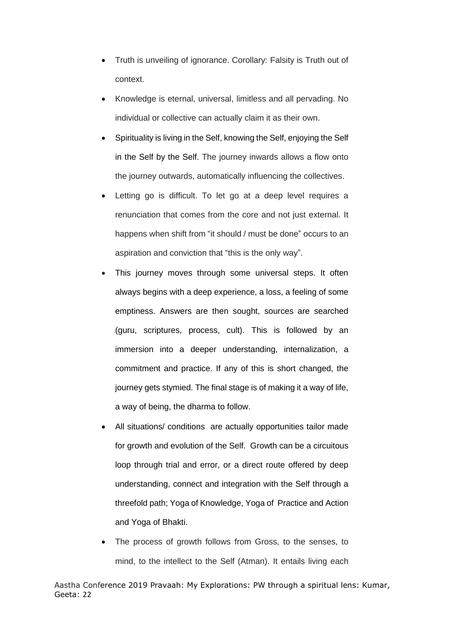- Truth is unveiling of ignorance. Corollary: Falsity is Truth out of context.
- Knowledge is eternal, universal, limitless and all pervading. No individual or collective can actually claim it as their own.
- Spirituality is living in the Self, knowing the Self, enjoying the Self in the Self by the Self. The journey inwards allows a flow onto the journey outwards, automatically influencing the collectives.
- Letting go is difficult. To let go at a deep level requires a renunciation that comes from the core and not just external. It happens when shift from "it should / must be done" occurs to an aspiration and conviction that "this is the only way".
- This journey moves through some universal steps. It often always begins with a deep experience, a loss, a feeling of some emptiness. Answers are then sought, sources are searched (guru, scriptures, process, cult). This is followed by an immersion into a deeper understanding, internalization, a commitment and practice. If any of this is short changed, the journey gets stymied. The final stage is of making it a way of life, a way of being, the dharma to follow.
- All situations/ conditions are actually opportunities tailor made for growth and evolution of the Self. Growth can be a circuitous loop through trial and error, or a direct route offered by deep understanding, connect and integration with the Self through a threefold path; Yoga of Knowledge, Yoga of Practice and Action and Yoga of Bhakti.
- The process of growth follows from Gross, to the senses, to mind, to the intellect to the Self (Atman). It entails living each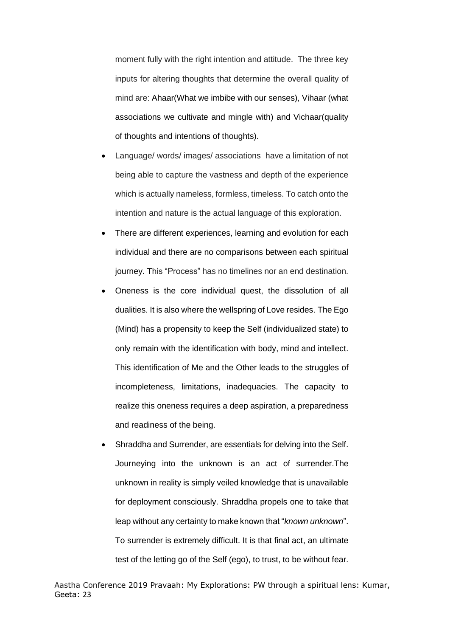moment fully with the right intention and attitude. The three key inputs for altering thoughts that determine the overall quality of mind are: Ahaar(What we imbibe with our senses), Vihaar (what associations we cultivate and mingle with) and Vichaar(quality of thoughts and intentions of thoughts).

- Language/ words/ images/ associations have a limitation of not being able to capture the vastness and depth of the experience which is actually nameless, formless, timeless. To catch onto the intention and nature is the actual language of this exploration.
- There are different experiences, learning and evolution for each individual and there are no comparisons between each spiritual journey. This "Process" has no timelines nor an end destination.
- Oneness is the core individual quest, the dissolution of all dualities. It is also where the wellspring of Love resides. The Ego (Mind) has a propensity to keep the Self (individualized state) to only remain with the identification with body, mind and intellect. This identification of Me and the Other leads to the struggles of incompleteness, limitations, inadequacies. The capacity to realize this oneness requires a deep aspiration, a preparedness and readiness of the being.
- Shraddha and Surrender, are essentials for delving into the Self. Journeying into the unknown is an act of surrender.The unknown in reality is simply veiled knowledge that is unavailable for deployment consciously. Shraddha propels one to take that leap without any certainty to make known that "*known unknown*". To surrender is extremely difficult. It is that final act, an ultimate test of the letting go of the Self (ego), to trust, to be without fear.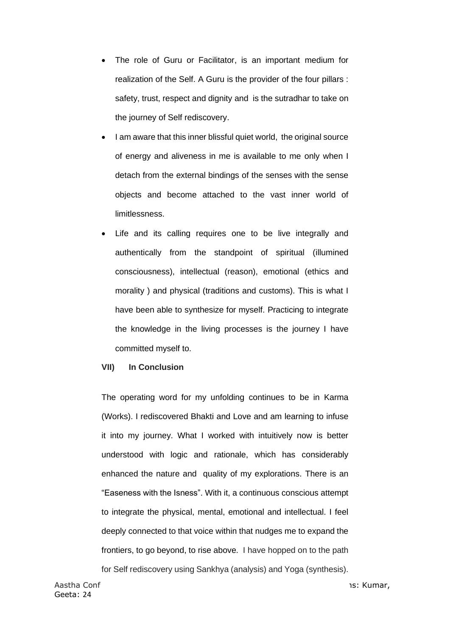- The role of Guru or Facilitator, is an important medium for realization of the Self. A Guru is the provider of the four pillars : safety, trust, respect and dignity and is the sutradhar to take on the journey of Self rediscovery.
- I am aware that this inner blissful quiet world, the original source of energy and aliveness in me is available to me only when I detach from the external bindings of the senses with the sense objects and become attached to the vast inner world of limitlessness.
- Life and its calling requires one to be live integrally and authentically from the standpoint of spiritual (illumined consciousness), intellectual (reason), emotional (ethics and morality ) and physical (traditions and customs). This is what I have been able to synthesize for myself. Practicing to integrate the knowledge in the living processes is the journey I have committed myself to.

## **VII) In Conclusion**

The operating word for my unfolding continues to be in Karma (Works). I rediscovered Bhakti and Love and am learning to infuse it into my journey. What I worked with intuitively now is better understood with logic and rationale, which has considerably enhanced the nature and quality of my explorations. There is an "Easeness with the Isness". With it, a continuous conscious attempt to integrate the physical, mental, emotional and intellectual. I feel deeply connected to that voice within that nudges me to expand the frontiers, to go beyond, to rise above. I have hopped on to the path for Self rediscovery using Sankhya (analysis) and Yoga (synthesis).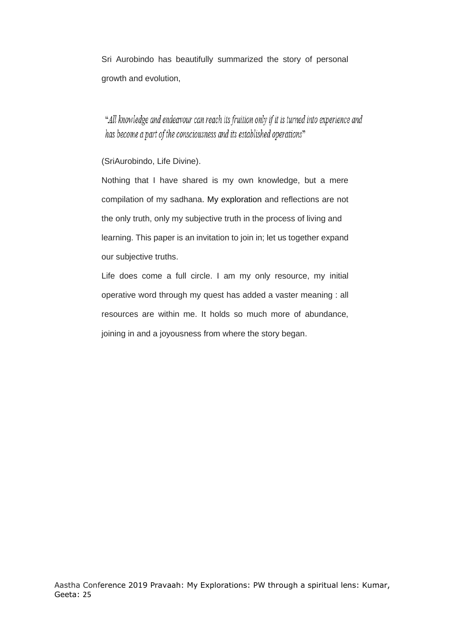Sri Aurobindo has beautifully summarized the story of personal growth and evolution,

"All knowledge and endeavour can reach its fruition only if it is turned into experience and has become a part of the consciousness and its established operations"

(SriAurobindo, Life Divine).

Nothing that I have shared is my own knowledge, but a mere compilation of my sadhana. My exploration and reflections are not the only truth, only my subjective truth in the process of living and learning. This paper is an invitation to join in; let us together expand our subjective truths.

Life does come a full circle. I am my only resource, my initial operative word through my quest has added a vaster meaning : all resources are within me. It holds so much more of abundance, joining in and a joyousness from where the story began.